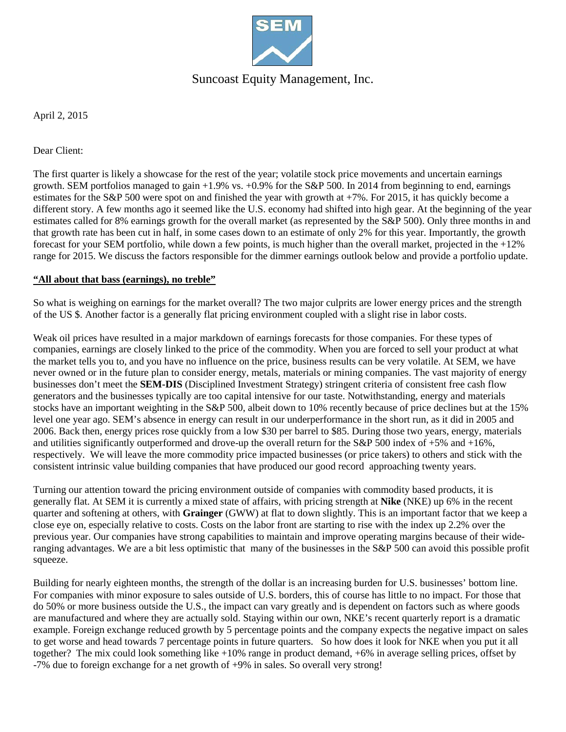

## Suncoast Equity Management, Inc.

April 2, 2015

Dear Client:

The first quarter is likely a showcase for the rest of the year; volatile stock price movements and uncertain earnings growth. SEM portfolios managed to gain +1.9% vs. +0.9% for the S&P 500. In 2014 from beginning to end, earnings estimates for the S&P 500 were spot on and finished the year with growth at +7%. For 2015, it has quickly become a different story. A few months ago it seemed like the U.S. economy had shifted into high gear. At the beginning of the year estimates called for 8% earnings growth for the overall market (as represented by the S&P 500). Only three months in and that growth rate has been cut in half, in some cases down to an estimate of only 2% for this year. Importantly, the growth forecast for your SEM portfolio, while down a few points, is much higher than the overall market, projected in the  $+12\%$ range for 2015. We discuss the factors responsible for the dimmer earnings outlook below and provide a portfolio update.

### **"All about that bass (earnings), no treble"**

So what is weighing on earnings for the market overall? The two major culprits are lower energy prices and the strength of the US \$. Another factor is a generally flat pricing environment coupled with a slight rise in labor costs.

Weak oil prices have resulted in a major markdown of earnings forecasts for those companies. For these types of companies, earnings are closely linked to the price of the commodity. When you are forced to sell your product at what the market tells you to, and you have no influence on the price, business results can be very volatile. At SEM, we have never owned or in the future plan to consider energy, metals, materials or mining companies. The vast majority of energy businesses don't meet the **SEM-DIS** (Disciplined Investment Strategy) stringent criteria of consistent free cash flow generators and the businesses typically are too capital intensive for our taste. Notwithstanding, energy and materials stocks have an important weighting in the S&P 500, albeit down to 10% recently because of price declines but at the 15% level one year ago. SEM's absence in energy can result in our underperformance in the short run, as it did in 2005 and 2006. Back then, energy prices rose quickly from a low \$30 per barrel to \$85. During those two years, energy, materials and utilities significantly outperformed and drove-up the overall return for the S&P 500 index of  $+5\%$  and  $+16\%$ , respectively. We will leave the more commodity price impacted businesses (or price takers) to others and stick with the consistent intrinsic value building companies that have produced our good record approaching twenty years.

Turning our attention toward the pricing environment outside of companies with commodity based products, it is generally flat. At SEM it is currently a mixed state of affairs, with pricing strength at **Nike** (NKE) up 6% in the recent quarter and softening at others, with **Grainger** (GWW) at flat to down slightly. This is an important factor that we keep a close eye on, especially relative to costs. Costs on the labor front are starting to rise with the index up 2.2% over the previous year. Our companies have strong capabilities to maintain and improve operating margins because of their wideranging advantages. We are a bit less optimistic that many of the businesses in the S&P 500 can avoid this possible profit squeeze.

Building for nearly eighteen months, the strength of the dollar is an increasing burden for U.S. businesses' bottom line. For companies with minor exposure to sales outside of U.S. borders, this of course has little to no impact. For those that do 50% or more business outside the U.S., the impact can vary greatly and is dependent on factors such as where goods are manufactured and where they are actually sold. Staying within our own, NKE's recent quarterly report is a dramatic example. Foreign exchange reduced growth by 5 percentage points and the company expects the negative impact on sales to get worse and head towards 7 percentage points in future quarters. So how does it look for NKE when you put it all together? The mix could look something like  $+10\%$  range in product demand,  $+6\%$  in average selling prices, offset by -7% due to foreign exchange for a net growth of +9% in sales. So overall very strong!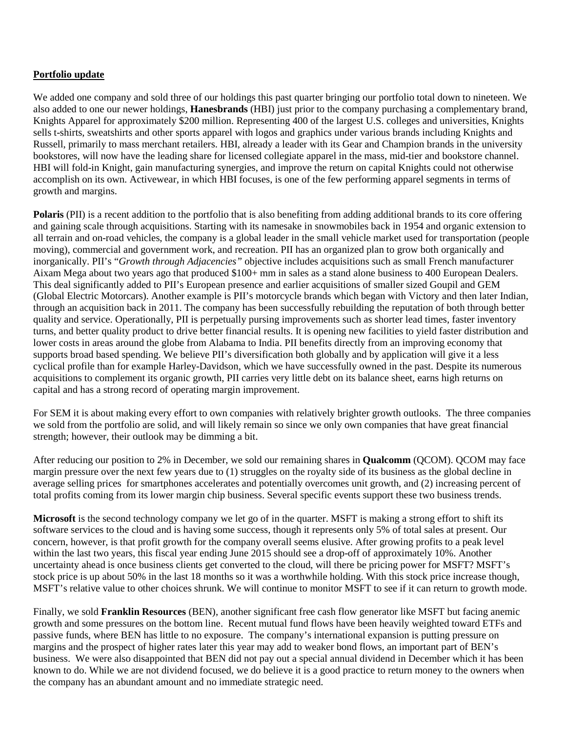### **Portfolio update**

We added one company and sold three of our holdings this past quarter bringing our portfolio total down to nineteen. We also added to one our newer holdings, **Hanesbrands** (HBI) just prior to the company purchasing a complementary brand, Knights Apparel for approximately \$200 million. Representing 400 of the largest U.S. colleges and universities, Knights sells t-shirts, sweatshirts and other sports apparel with logos and graphics under various brands including Knights and Russell, primarily to mass merchant retailers. HBI, already a leader with its Gear and Champion brands in the university bookstores, will now have the leading share for licensed collegiate apparel in the mass, mid-tier and bookstore channel. HBI will fold-in Knight, gain manufacturing synergies, and improve the return on capital Knights could not otherwise accomplish on its own. Activewear, in which HBI focuses, is one of the few performing apparel segments in terms of growth and margins.

**Polaris** (PII) is a recent addition to the portfolio that is also benefiting from adding additional brands to its core offering and gaining scale through acquisitions. Starting with its namesake in snowmobiles back in 1954 and organic extension to all terrain and on-road vehicles, the company is a global leader in the small vehicle market used for transportation (people moving), commercial and government work, and recreation. PII has an organized plan to grow both organically and inorganically. PII's "*Growth through Adjacencies"* objective includes acquisitions such as small French manufacturer Aixam Mega about two years ago that produced \$100+ mm in sales as a stand alone business to 400 European Dealers. This deal significantly added to PII's European presence and earlier acquisitions of smaller sized Goupil and GEM (Global Electric Motorcars). Another example is PII's motorcycle brands which began with Victory and then later Indian, through an acquisition back in 2011. The company has been successfully rebuilding the reputation of both through better quality and service. Operationally, PII is perpetually pursing improvements such as shorter lead times, faster inventory turns, and better quality product to drive better financial results. It is opening new facilities to yield faster distribution and lower costs in areas around the globe from Alabama to India. PII benefits directly from an improving economy that supports broad based spending. We believe PII's diversification both globally and by application will give it a less cyclical profile than for example Harley-Davidson, which we have successfully owned in the past. Despite its numerous acquisitions to complement its organic growth, PII carries very little debt on its balance sheet, earns high returns on capital and has a strong record of operating margin improvement.

For SEM it is about making every effort to own companies with relatively brighter growth outlooks. The three companies we sold from the portfolio are solid, and will likely remain so since we only own companies that have great financial strength; however, their outlook may be dimming a bit.

After reducing our position to 2% in December, we sold our remaining shares in **Qualcomm** (QCOM). QCOM may face margin pressure over the next few years due to (1) struggles on the royalty side of its business as the global decline in average selling prices for smartphones accelerates and potentially overcomes unit growth, and (2) increasing percent of total profits coming from its lower margin chip business. Several specific events support these two business trends.

**Microsoft** is the second technology company we let go of in the quarter. MSFT is making a strong effort to shift its software services to the cloud and is having some success, though it represents only 5% of total sales at present. Our concern, however, is that profit growth for the company overall seems elusive. After growing profits to a peak level within the last two years, this fiscal year ending June 2015 should see a drop-off of approximately 10%. Another uncertainty ahead is once business clients get converted to the cloud, will there be pricing power for MSFT? MSFT's stock price is up about 50% in the last 18 months so it was a worthwhile holding. With this stock price increase though, MSFT's relative value to other choices shrunk. We will continue to monitor MSFT to see if it can return to growth mode.

Finally, we sold **Franklin Resources** (BEN), another significant free cash flow generator like MSFT but facing anemic growth and some pressures on the bottom line. Recent mutual fund flows have been heavily weighted toward ETFs and passive funds, where BEN has little to no exposure. The company's international expansion is putting pressure on margins and the prospect of higher rates later this year may add to weaker bond flows, an important part of BEN's business. We were also disappointed that BEN did not pay out a special annual dividend in December which it has been known to do. While we are not dividend focused, we do believe it is a good practice to return money to the owners when the company has an abundant amount and no immediate strategic need.